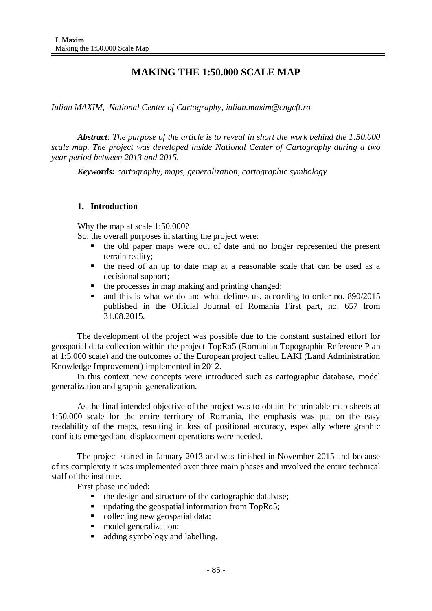# **MAKING THE 1:50.000 SCALE MAP**

*Iulian MAXIM, National Center of Cartography, iulian.maxim@cngcft.ro*

*Abstract: The purpose of the article is to reveal in short the work behind the 1:50.000 scale map. The project was developed inside National Center of Cartography during a two year period between 2013 and 2015.*

*Keywords: cartography, maps, generalization, cartographic symbology*

# **1. Introduction**

Why the map at scale 1:50.000?

So, the overall purposes in starting the project were:

- the old paper maps were out of date and no longer represented the present terrain reality;
- the need of an up to date map at a reasonable scale that can be used as a decisional support;
- $\blacksquare$  the processes in map making and printing changed;
- and this is what we do and what defines us, according to order no. 890/2015 published in the Official Journal of Romania First part, no. 657 from 31.08.2015.

The development of the project was possible due to the constant sustained effort for geospatial data collection within the project TopRo5 (Romanian Topographic Reference Plan at 1:5.000 scale) and the outcomes of the European project called LAKI (Land Administration Knowledge Improvement) implemented in 2012.

In this context new concepts were introduced such as cartographic database, model generalization and graphic generalization.

As the final intended objective of the project was to obtain the printable map sheets at 1:50.000 scale for the entire territory of Romania, the emphasis was put on the easy readability of the maps, resulting in loss of positional accuracy, especially where graphic conflicts emerged and displacement operations were needed.

The project started in January 2013 and was finished in November 2015 and because of its complexity it was implemented over three main phases and involved the entire technical staff of the institute.

First phase included:

- the design and structure of the cartographic database;
- updating the geospatial information from TopRo5;
- collecting new geospatial data;
- $\blacksquare$  model generalization;
- adding symbology and labelling.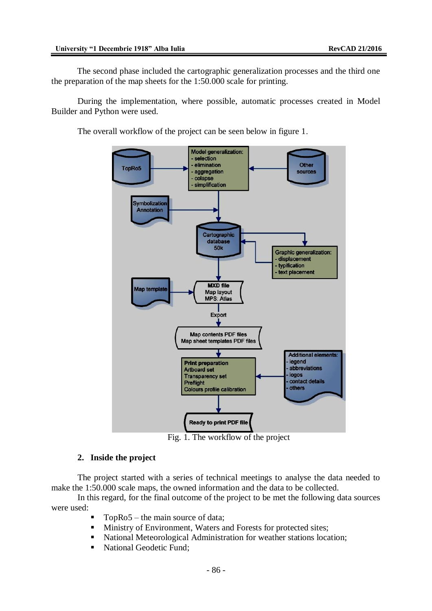The second phase included the cartographic generalization processes and the third one the preparation of the map sheets for the 1:50.000 scale for printing.

During the implementation, where possible, automatic processes created in Model Builder and Python were used.

The overall workflow of the project can be seen below in figure 1.



Fig. 1. The workflow of the project

## **2. Inside the project**

The project started with a series of technical meetings to analyse the data needed to make the 1:50.000 scale maps, the owned information and the data to be collected.

In this regard, for the final outcome of the project to be met the following data sources were used:

- TopRo5 the main source of data;
- Ministry of Environment, Waters and Forests for protected sites;
- National Meteorological Administration for weather stations location;
- National Geodetic Fund: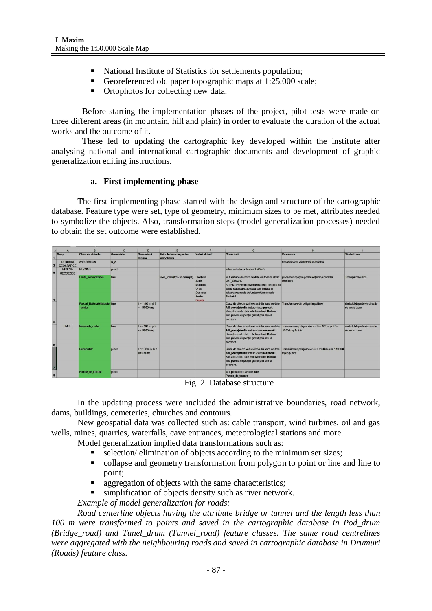- National Institute of Statistics for settlements population;
- Georeferenced old paper topographic maps at 1:25.000 scale;
- Ortophotos for collecting new data.

Before starting the implementation phases of the project, pilot tests were made on three different areas (in mountain, hill and plain) in order to evaluate the duration of the actual works and the outcome of it.

These led to updating the cartographic key developed within the institute after analysing national and international cartographic documents and development of graphic generalization editing instructions.

#### **a. First implementing phase**

The first implementing phase started with the design and structure of the cartographic database. Feature type were set, type of geometry, minimum sizes to be met, attributes needed to symbolize the objects. Also, transformation steps (model generalization processes) needed to obtain the set outcome were established.

|                              | A                                    |                                           | $\mathbf{C}$ | $\mathbf{D}$                                          | Е                                       |                                                                              | G                                                                                                                                                                                                                                                                                         | H                                                                     |                                                |
|------------------------------|--------------------------------------|-------------------------------------------|--------------|-------------------------------------------------------|-----------------------------------------|------------------------------------------------------------------------------|-------------------------------------------------------------------------------------------------------------------------------------------------------------------------------------------------------------------------------------------------------------------------------------------|-----------------------------------------------------------------------|------------------------------------------------|
| 1                            | Grup                                 | Clasa de objecte                          | Geometrie    | Dimensiuni<br>minime                                  | Atribute folosite pentru<br>simbolizare | Valori atribut                                                               | Observatii                                                                                                                                                                                                                                                                                | Procesare                                                             | Simbolizare                                    |
| $\overline{2}$               | <b>DENUMIRI</b><br><b>GEOGRAFICE</b> | <b>ANNOTATION</b>                         | <b>NA</b>    |                                                       |                                         |                                                                              |                                                                                                                                                                                                                                                                                           | transformarea etichetelor în adnotări                                 |                                                |
| $\overline{3}$               | <b>PUNCTE</b><br><b>GEODEZICE</b>    | <b>PTRAING</b>                            | punct        |                                                       |                                         |                                                                              | extrase din baza de date ToPRo5                                                                                                                                                                                                                                                           |                                                                       |                                                |
| $\overline{4}$               |                                      | Limite adminsitrative                     | linie        |                                                       | Nivel limita (trebuie adaugat)          | Frontiera<br><b>Judet</b><br>Municipiu<br>Oras<br>Comuna<br>Sector<br>Coasta | va fi extrasă din baza de date din feature class procesare spațială pentru obtinerea nivelelor<br><b>UAT LIMADT.</b><br>ATTENTIE! Pentru nivelele mai mici de judet nu<br>există clasificare; acestea sunt incluse in<br>valoarea generala de Unitate Administrativ<br><b>Teritoriala</b> | inferioare                                                            | Transparentă 30%                               |
| $\overline{\mathbf{5}}$      |                                      | Parcuri NationaleNaturale linie<br>contur |              | $1 > = 100$ m si S<br>$>= 10.000$ mp                  |                                         |                                                                              | Clasa de obiecte va fi extrasă din baza de date<br>Arii protejate din feature class parcuri.<br>Sursa bazei de date este Ministerul Mediului<br>fiind puse la dispozitie gratuit prin site-ul<br>acestora                                                                                 | Transformare din policion in politimie                                | simbolul depinde de directia<br>de vectorizare |
|                              | <b>LIMITE</b>                        | Rezervatii contur                         | linie        | $I \ge 100 \text{ m} \text{ si } S$<br>$>= 10,000$ mp |                                         |                                                                              | Clasa de objecte va fi extrasă din baza de date<br>Arii protejate din feature class rezervatii.<br>Sursa bazei de date este Ministerul Mediului<br>fiind puse la dispozitie gratuit prin site-ul<br>acestora                                                                              | Transformare policoanelor cu I >= 100 m si S >=<br>10,000 mp in linie | simbolul depinde de directia<br>de vectorizare |
| $6 \nvert$<br>$\overline{z}$ |                                      | <b>RezervatiiP</b>                        | punct        | $1 < 100$ m si $S <$<br>10.000 mp                     |                                         |                                                                              | Clasa de objecte va fi extrasă din baza de date.<br>Arii proteiate din feature class rezervatii.<br>Sursa bazei de date este Ministerul Mediului<br>fiind puse la dispoziție gratuit prin site-ul<br>acestora                                                                             | Transformare poligoanelor cu I < 100 m si S < 10.000<br>mo in punct   |                                                |
| 8                            |                                      | Puncte de trecere                         | punct        |                                                       |                                         |                                                                              | va fi preluat din baza de date<br>Puncte de trecere                                                                                                                                                                                                                                       |                                                                       |                                                |

Fig. 2. Database structure

In the updating process were included the administrative boundaries, road network, dams, buildings, cemeteries, churches and contours.

New geospatial data was collected such as: cable transport, wind turbines, oil and gas wells, mines, quarries, waterfalls, cave entrances, meteorological stations and more.

- Model generalization implied data transformations such as:
	- selection/ elimination of objects according to the minimum set sizes;
	- collapse and geometry transformation from polygon to point or line and line to point;
	- aggregation of objects with the same characteristics;
	- simplification of objects density such as river network.

*Example of model generalization for roads:*

*Road centerline objects having the attribute bridge or tunnel and the length less than 100 m were transformed to points and saved in the cartographic database in Pod\_drum (Bridge\_road) and Tunel\_drum (Tunnel\_road) feature classes. The same road centrelines were aggregated with the neighbouring roads and saved in cartographic database in Drumuri (Roads) feature class.*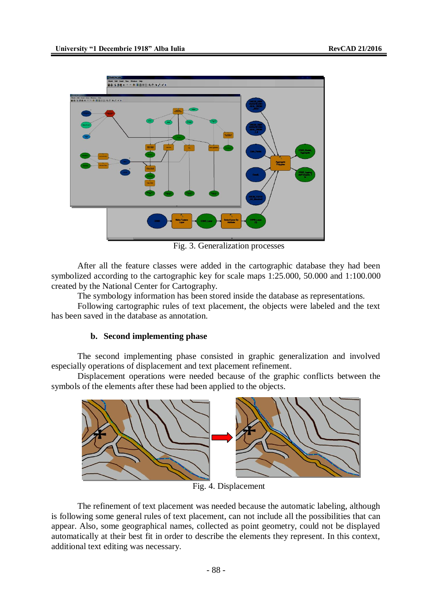

Fig. 3. Generalization processes

After all the feature classes were added in the cartographic database they had been symbolized according to the cartographic key for scale maps 1:25.000, 50.000 and 1:100.000 created by the National Center for Cartography.

The symbology information has been stored inside the database as representations.

Following cartographic rules of text placement, the objects were labeled and the text has been saved in the database as annotation.

#### **b. Second implementing phase**

The second implementing phase consisted in graphic generalization and involved especially operations of displacement and text placement refinement.

Displacement operations were needed because of the graphic conflicts between the symbols of the elements after these had been applied to the objects.



Fig. 4. Displacement

The refinement of text placement was needed because the automatic labeling, although is following some general rules of text placement, can not include all the possibilities that can appear. Also, some geographical names, collected as point geometry, could not be displayed automatically at their best fit in order to describe the elements they represent. In this context, additional text editing was necessary.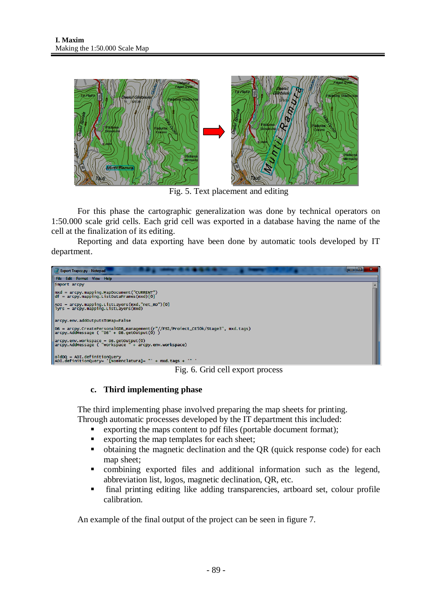

Fig. 5. Text placement and editing

For this phase the cartographic generalization was done by technical operators on 1:50.000 scale grid cells. Each grid cell was exported in a database having the name of the cell at the finalization of its editing.

Reporting and data exporting have been done by automatic tools developed by IT department.



Fig. 6. Grid cell export process

# **c. Third implementing phase**

The third implementing phase involved preparing the map sheets for printing. Through automatic processes developed by the IT department this included:

- exporting the maps content to pdf files (portable document format);
- exporting the map templates for each sheet;
- obtaining the magnetic declination and the QR (quick response code) for each map sheet;
- combining exported files and additional information such as the legend, abbreviation list, logos, magnetic declination, QR, etc.
- final printing editing like adding transparencies, artboard set, colour profile calibration.

An example of the final output of the project can be seen in figure 7.